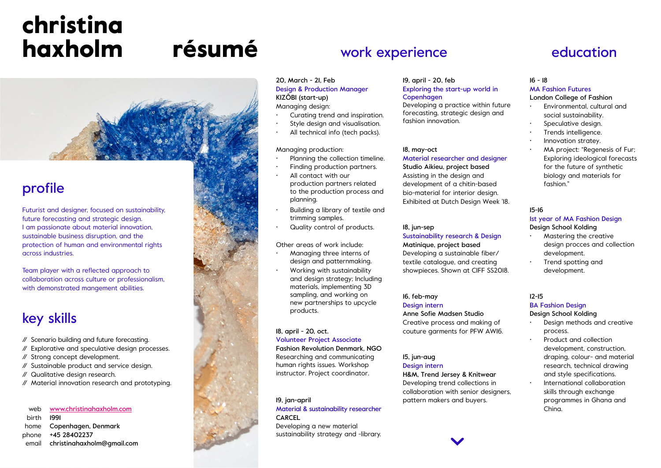# résumé christina haxholm



# profile

Futurist and designer, focused on sustainability, future forecasting and strategic design. I am passionate about material innovation, sustainable business disruption, and the protection of human and environmental rights across industries.

Team player with a reflected approach to collaboration across culture or professionalism, with demonstrated mangement abilities.

# key skills

// Scenario building and future forecasting.

- // Explorative and speculative design processes.
- // Strong concept development.
- // Sustainable product and service design.
- // Qualitative design research.
- // Material innovation research and prototyping.

#### www.christinahaxholm.com 1991 Copenhagen, Denmark +45 28402237 christinahaxholm@gmail.com web birth home phone email

# work experience

20, March - 21, Feb Design & Production Manager KIZÔBI (start-up) Managing design:

- Curating trend and inspiration.
- Style design and visualisation.
- All technical info (tech packs).

#### Managing production:

- Planning the collection timeline.
- Finding production partners.
- All contact with our production partners related to the production process and planning.
- Building a library of textile and trimming samples.
- Quality control of products.

#### Other areas of work include:

- Managing three interns of design and patternmaking.
- Working with sustainability and design strategy; Including materials, implementing 3D sampling, and working on new partnerships to upcycle products.

#### 18, april - 20, oct. Volunteer Project Associate Fashion Revolution Denmark, NGO Researching and communicating

human rights issues. Workshop instructor. Project coordinator.

19, jan-april Material & sustainability researcher CARCEL Developing a new material sustainability strategy and -library.

# 19, april - 20, feb

### Exploring the start-up world in **Copenhagen**

Developing a practice within future forecasting, strategic design and fashion innovation.

#### 18, may-oct Material researcher and designer Studio Aikieu, project based

Assisting in the design and development of a chitin-based bio-material for interior design. Exhibited at Dutch Design Week '18.

#### 18, jun-sep Sustainability research & Design

Matinique, project based Developing a sustainable fiber/ textile catalogue, and creating showpieces. Shown at CIFF SS2018.

#### 16, feb-may Design intern

Anne Sofie Madsen Studio Creative process and making of couture garments for PFW AW16.

#### 15, jun-aug Design intern

H&M, Trend Jersey & Knitwear Developing trend collections in collaboration with senior designers, pattern makers and buyers.

# education

#### 16 - 18 MA Fashion Futures

London College of Fashion

- Environmental, cultural and social sustainability.
- Speculative design.
- Trends intelligence.
- Innovation stratey.
- MA project: "Regenesis of Fur; Exploring ideological forecasts for the future of synthetic biology and materials for fashion."

#### 15-16

### 1st year of MA Fashion Design

#### Design School Kolding • Mastering the creative

- design procces and collection development.
- Trend spotting and development.

#### 12-15

#### BA Fashion Design

#### Design School Kolding

- Design methods and creative process.
- Product and collection development, construction, draping, colour- and material research, technical drawing and style specifications.
- International collaboration skills through exchange programmes in Ghana and China.